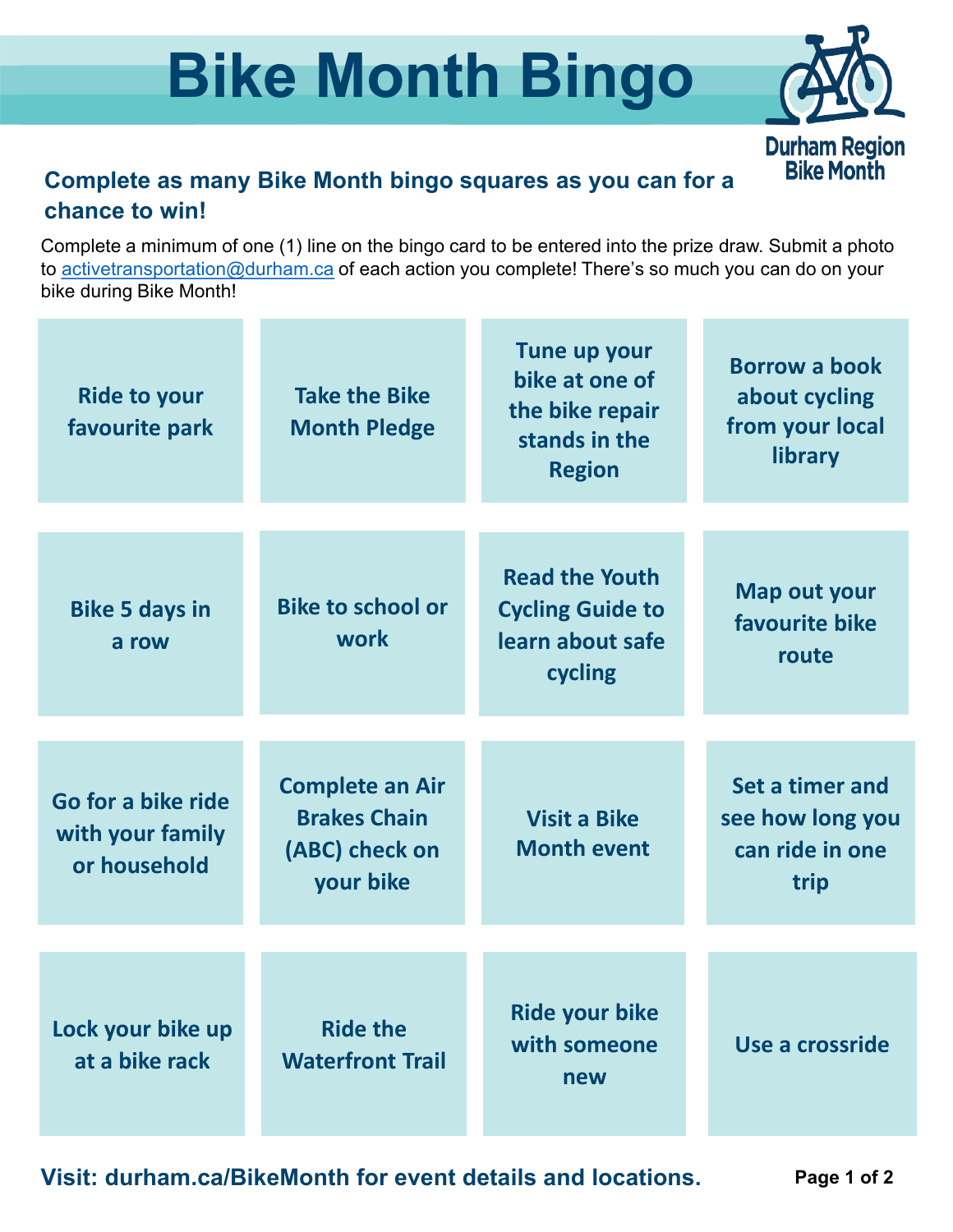## **Bike Month Bingo**



#### **Complete as many Bike Month bingo squares as you can for a chance to win!**

Complete a minimum of one (1) line on the bingo card to be entered into the prize draw. Submit a photo to [activetransportation@durham.ca](mailto:activetransportation@durham.ca) of each action you complete! There's so much you can do on your bike during Bike Month!

| <b>Ride to your</b><br>favourite park                  | <b>Take the Bike</b><br><b>Month Pledge</b>                                  | Tune up your<br>bike at one of<br>the bike repair<br>stands in the<br><b>Region</b> | <b>Borrow a book</b><br>about cycling<br>from your local<br>library |
|--------------------------------------------------------|------------------------------------------------------------------------------|-------------------------------------------------------------------------------------|---------------------------------------------------------------------|
| <b>Bike 5 days in</b><br>a row                         | <b>Bike to school or</b><br>work                                             | <b>Read the Youth</b><br><b>Cycling Guide to</b><br>learn about safe<br>cycling     | <b>Map out your</b><br>favourite bike<br>route                      |
| Go for a bike ride<br>with your family<br>or household | <b>Complete an Air</b><br><b>Brakes Chain</b><br>(ABC) check on<br>your bike | <b>Visit a Bike</b><br><b>Month event</b>                                           | Set a timer and<br>see how long you<br>can ride in one<br>trip      |
| Lock your bike up<br>at a bike rack                    | <b>Ride the</b><br><b>Waterfront Trail</b>                                   | <b>Ride your bike</b><br>with someone<br>new                                        | Use a crossride                                                     |

**Visit: durham.ca/BikeMonth for event details and locations.**